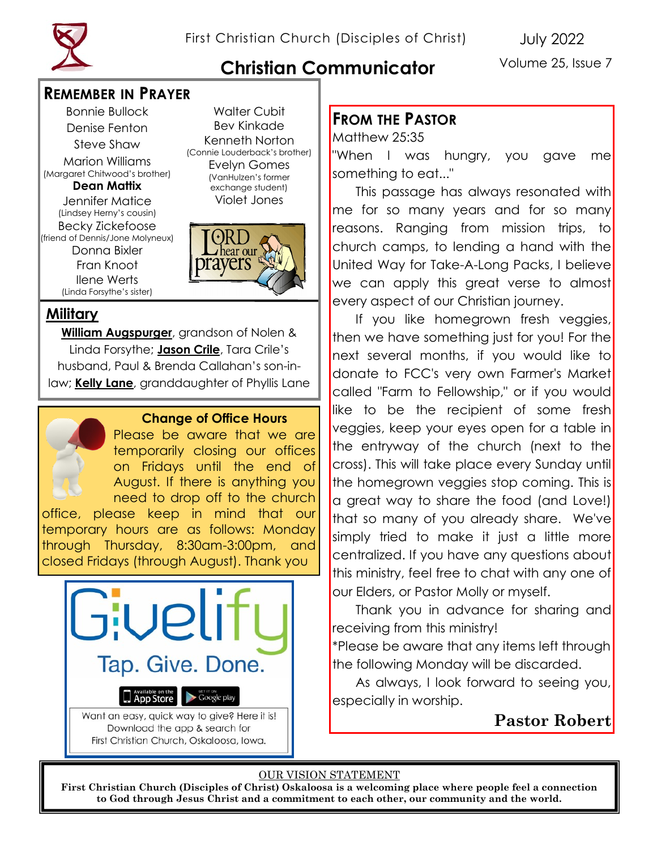# **Christian Communicator**

Volume 25, Issue 7

#### **REMEMBER IN PRAYER**

Bonnie Bullock Denise Fenton Steve Shaw Marion Williams (Margaret Chitwood's brother) **Dean Mattix** Jennifer Matice (Lindsey Herny's cousin) Becky Zickefoose (friend of Dennis/Jone Molyneux) Donna Bixler Fran Knoot Ilene Werts (Linda Forsythe's sister)

Walter Cubit Bev Kinkade Kenneth Norton (Connie Louderback's brother) Evelyn Gomes (VanHulzen's former exchange student) Violet Jones



## **Military**

**William Augspurger**, grandson of Nolen & Linda Forsythe; **Jason Crile**, Tara Crile's husband, Paul & Brenda Callahan's son-inlaw; **Kelly Lane**, granddaughter of Phyllis Lane



#### **Change of Office Hours**

Please be aware that we are temporarily closing our offices on Fridays until the end of August. If there is anything you need to drop off to the church

office, please keep in mind that our temporary hours are as follows: Monday through Thursday, 8:30am-3:00pm, and closed Fridays (through August). Thank you



First Christian Church, Oskaloosa, Iowa.

#### **FROM THE PASTOR**

Matthew 25:35 "When I was hungry, you gave me something to eat..."

This passage has always resonated with me for so many years and for so many reasons. Ranging from mission trips, to church camps, to lending a hand with the United Way for Take-A-Long Packs, I believe we can apply this great verse to almost every aspect of our Christian journey.

If you like homegrown fresh veggies, then we have something just for you! For the next several months, if you would like to donate to FCC's very own Farmer's Market called "Farm to Fellowship," or if you would like to be the recipient of some fresh veggies, keep your eyes open for a table in the entryway of the church (next to the cross). This will take place every Sunday until the homegrown veggies stop coming. This is a great way to share the food (and Love!) that so many of you already share. We've simply tried to make it just a little more centralized. If you have any questions about this ministry, feel free to chat with any one of our Elders, or Pastor Molly or myself.

Thank you in advance for sharing and receiving from this ministry!

\*Please be aware that any items left through the following Monday will be discarded.

As always, I look forward to seeing you, especially in worship.

# **Pastor Robert**

#### OUR VISION STATEMENT

**First Christian Church (Disciples of Christ) Oskaloosa is a welcoming place where people feel a connection to God through Jesus Christ and a commitment to each other, our community and the world.**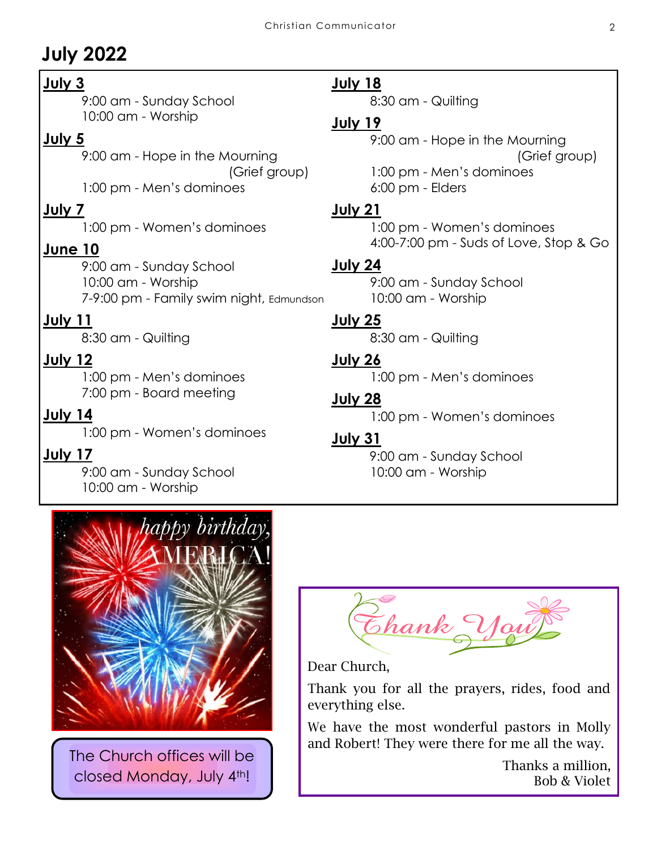# **July 2022**

#### **July 3**

9:00 am - Sunday School 10:00 am - Worship

#### **July 5**

9:00 am - Hope in the Mourning (Grief group) 1:00 pm - Men's dominoes

#### **July 7**

1:00 pm - Women's dominoes

#### **June 10**

9:00 am - Sunday School 10:00 am - Worship 7-9:00 pm - Family swim night, Edmundson

#### **July 11**

8:30 am - Quilting

### **July 12**

1:00 pm - Men's dominoes 7:00 pm - Board meeting

#### **July 14**

1:00 pm - Women's dominoes

#### **July 17**

9:00 am - Sunday School 10:00 am - Worship

#### **July 18**

8:30 am - Quilting

#### **July 19**

9:00 am - Hope in the Mourning (Grief group) 1:00 pm - Men's dominoes 6:00 pm - Elders

#### **July 21**

1:00 pm - Women's dominoes 4:00-7:00 pm - Suds of Love, Stop & Go

#### **July 24**

9:00 am - Sunday School 10:00 am - Worship

#### **July 25**

8:30 am - Quilting

# **July 26**

1:00 pm - Men's dominoes

# **July 28**

1:00 pm - Women's dominoes

#### **July 31**

9:00 am - Sunday School 10:00 am - Worship



The Church offices will be closed Monday, July 4th!

Thank You

Dear Church,

Thank you for all the prayers, rides, food and everything else.

We have the most wonderful pastors in Molly and Robert! They were there for me all the way.

> Thanks a million, Bob & Violet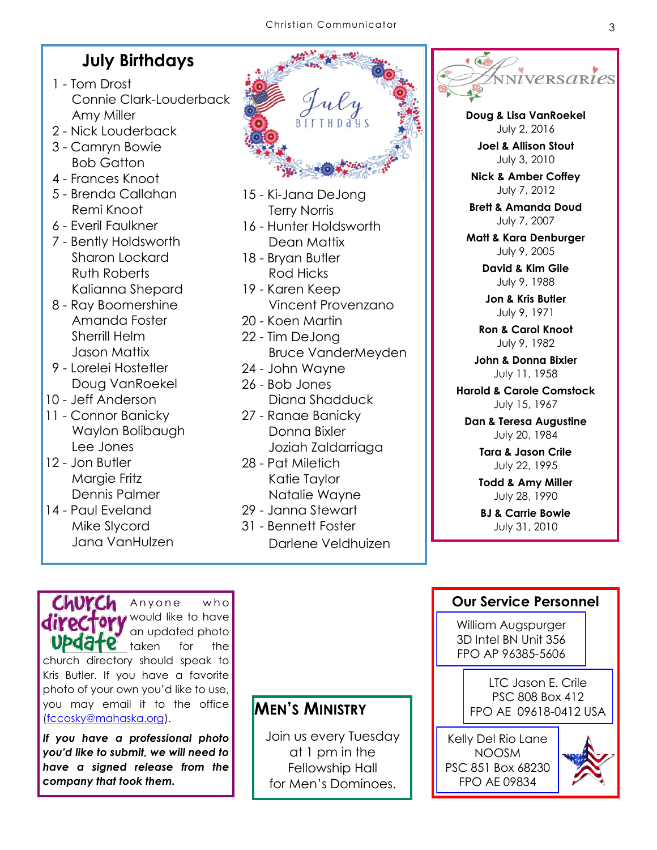### **July Birthdays**

- 1 Tom Drost Connie Clark-Louderback Amy Miller
- 2 Nick Louderback
- 3 Camryn Bowie Bob Gatton
- 4 Frances Knoot
- 5 Brenda Callahan Remi Knoot
- 6 Everil Faulkner
- 7 Bently Holdsworth Sharon Lockard Ruth Roberts Kalianna Shepard
- 8 Ray Boomershine Amanda Foster Sherrill Helm Jason Mattix
- 9 Lorelei Hostetler Doug VanRoekel
- 10 Jeff Anderson
- 11 Connor Banicky Waylon Bolibaugh Lee Jones
- 12 Jon Butler Margie Fritz Dennis Palmer
- 14 Paul Eveland Mike Slycord Jana VanHulzen

- 15 Ki-Jana DeJong Terry Norris
- 16 Hunter Holdsworth Dean Mattix
- 18 Bryan Butler Rod Hicks
- 19 Karen Keep Vincent Provenzano
- 20 Koen Martin
- 22 Tim DeJong Bruce VanderMeyden
- 24 John Wayne 26 - Bob Jones
- Diana Shadduck
- 27 Ranae Banicky Donna Bixler Joziah Zaldarriaga
- 28 Pat Miletich Katie Taylor Natalie Wayne
- 29 Janna Stewart
- 31 Bennett Foster
	- Darlene Veldhuizen



**Doug & Lisa VanRoekel** July 2, 2016

**Joel & Allison Stout** July 3, 2010

**Nick & Amber Coffey** July 7, 2012

**Brett & Amanda Doud** July 7, 2007

**Matt & Kara Denburger** July 9, 2005

> **David & Kim Gile** July 9, 1988

**Jon & Kris Butler** July 9, 1971

**Ron & Carol Knoot** July 9, 1982

**John & Donna Bixler** July 11, 1958

**Harold & Carole Comstock** July 15, 1967

**Dan & Teresa Augustine** July 20, 1984

> **Tara & Jason Crile** July 22, 1995

**Todd & Amy Miller** July 28, 1990

**BJ & Carrie Bowie** July 31, 2010

#### **Our Service Personnel**

William Augspurger 3D Intel BN Unit 356 FPO AP 96385-5606

> LTC Jason E. Crile PSC 808 Box 412 FPO AE 09618-0412 USA

Kelly Del Rio Lane NOOSM PSC 851 Box 68230 FPO AE 09834



directory would like to have an updated photo UP date taken for the church directory should speak to Kris Butler. If you have a favorite photo of your own you'd like to use, you may email it to the office ([fccosky@mahaska.org\).](mailto:fccosky@mahaska.org)

Church Anyone who

*If you have a professional photo you'd like to submit, we will need to have a signed release from the company that took them.* 

**MEN'S MINISTRY**

Join us every Tuesday at 1 pm in the Fellowship Hall for Men's Dominoes.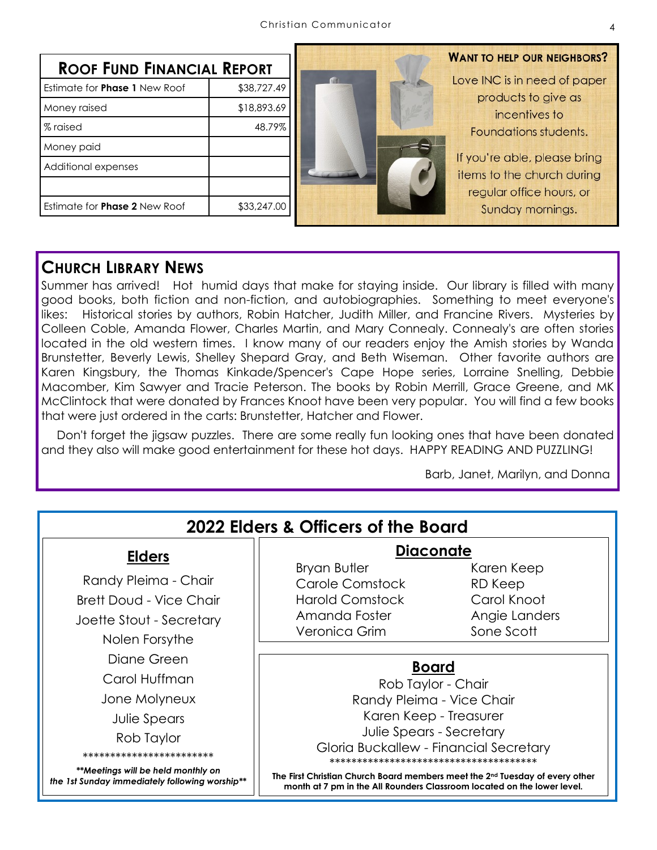| <b>ROOF FUND FINANCIAL REPORT</b>    |             |  |
|--------------------------------------|-------------|--|
| Estimate for <b>Phase 1</b> New Roof | \$38,727.49 |  |
| Money raised                         | \$18,893.69 |  |
| % raised                             | 48.79%      |  |
| Money paid                           |             |  |
| Additional expenses                  |             |  |
|                                      |             |  |
| Estimate for <b>Phase 2</b> New Roof | \$33,247.00 |  |



### **WANT TO HELP OUR NEIGHBORS?** Love INC is in need of paper products to give as

incentives to Foundations students.

If you're able, please bring items to the church during regular office hours, or Sunday mornings.

#### **CHURCH LIBRARY NEWS**

Summer has arrived! Hot humid days that make for staying inside. Our library is filled with many good books, both fiction and non-fiction, and autobiographies. Something to meet everyone's likes: Historical stories by authors, Robin Hatcher, Judith Miller, and Francine Rivers. Mysteries by Colleen Coble, Amanda Flower, Charles Martin, and Mary Connealy. Connealy's are often stories located in the old western times. I know many of our readers enjoy the Amish stories by Wanda Brunstetter, Beverly Lewis, Shelley Shepard Gray, and Beth Wiseman. Other favorite authors are Karen Kingsbury, the Thomas Kinkade/Spencer's Cape Hope series, Lorraine Snelling, Debbie Macomber, Kim Sawyer and Tracie Peterson. The books by Robin Merrill, Grace Greene, and MK McClintock that were donated by Frances Knoot have been very popular. You will find a few books that were just ordered in the carts: Brunstetter, Hatcher and Flower.

Don't forget the jigsaw puzzles. There are some really fun looking ones that have been donated and they also will make good entertainment for these hot days. HAPPY READING AND PUZZLING!

Barb, Janet, Marilyn, and Donna

| 2022 Elders & Officers of the Board                                                                                                                                                                     |                                                                                                                                                                                                                                                                                                                                        |                                                                     |  |
|---------------------------------------------------------------------------------------------------------------------------------------------------------------------------------------------------------|----------------------------------------------------------------------------------------------------------------------------------------------------------------------------------------------------------------------------------------------------------------------------------------------------------------------------------------|---------------------------------------------------------------------|--|
| <b>Elders</b>                                                                                                                                                                                           | <b>Diaconate</b>                                                                                                                                                                                                                                                                                                                       |                                                                     |  |
| Randy Pleima - Chair<br><b>Brett Doud - Vice Chair</b><br>Joette Stout - Secretary<br>Nolen Forsythe                                                                                                    | <b>Bryan Butler</b><br>Carole Comstock<br><b>Harold Comstock</b><br>Amanda Foster<br>Veronica Grim                                                                                                                                                                                                                                     | Karen Keep<br>RD Keep<br>Carol Knoot<br>Angie Landers<br>Sone Scott |  |
| Diane Green<br>Carol Huffman<br>Jone Molyneux<br><b>Julie Spears</b><br>Rob Taylor<br>*************************<br>**Meetings will be held monthly on<br>the 1st Sunday immediately following worship** | <b>Board</b><br>Rob Taylor - Chair<br>Randy Pleima - Vice Chair<br>Karen Keep - Treasurer<br>Julie Spears - Secretary<br>Gloria Buckallew - Financial Secretary<br>The First Christian Church Board members meet the 2 <sup>nd</sup> Tuesday of every other<br>month at 7 pm in the All Rounders Classroom located on the lower level. |                                                                     |  |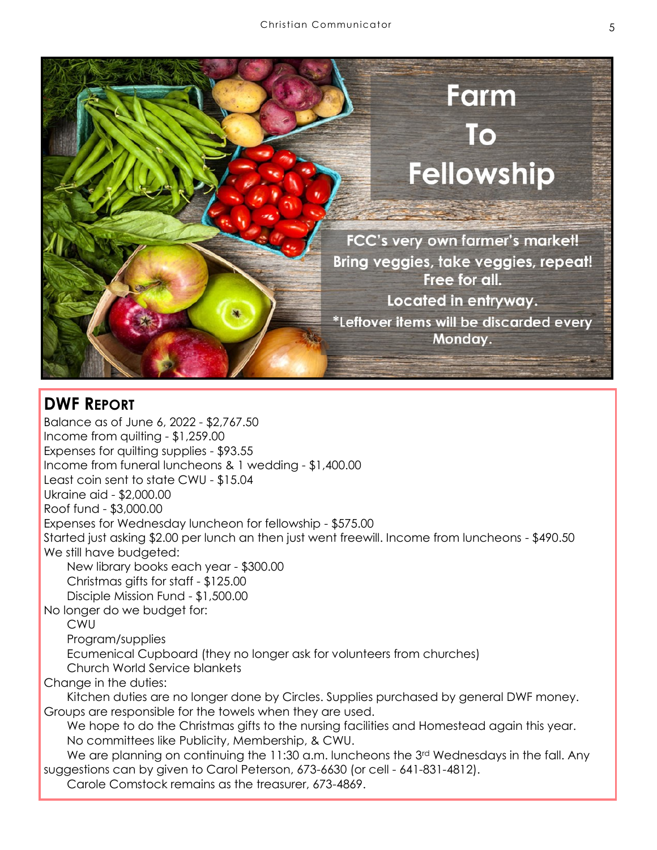

## **DWF REPORT**

Balance as of June 6, 2022 - \$2,767.50 Income from quilting - \$1,259.00 Expenses for quilting supplies - \$93.55 Income from funeral luncheons & 1 wedding - \$1,400.00 Least coin sent to state CWU - \$15.04 Ukraine aid - \$2,000.00 Roof fund - \$3,000.00 Expenses for Wednesday luncheon for fellowship - \$575.00 Started just asking \$2.00 per lunch an then just went freewill. Income from luncheons - \$490.50 We still have budgeted: New library books each year - \$300.00 Christmas gifts for staff - \$125.00 Disciple Mission Fund - \$1,500.00 No longer do we budget for: CWU Program/supplies Ecumenical Cupboard (they no longer ask for volunteers from churches) Church World Service blankets Change in the duties: Kitchen duties are no longer done by Circles. Supplies purchased by general DWF money. Groups are responsible for the towels when they are used. We hope to do the Christmas gifts to the nursing facilities and Homestead again this year. No committees like Publicity, Membership, & CWU. We are planning on continuing the 11:30 a.m. luncheons the 3<sup>rd</sup> Wednesdays in the fall. Any suggestions can by given to Carol Peterson, 673-6630 (or cell - 641-831-4812).

Carole Comstock remains as the treasurer, 673-4869.